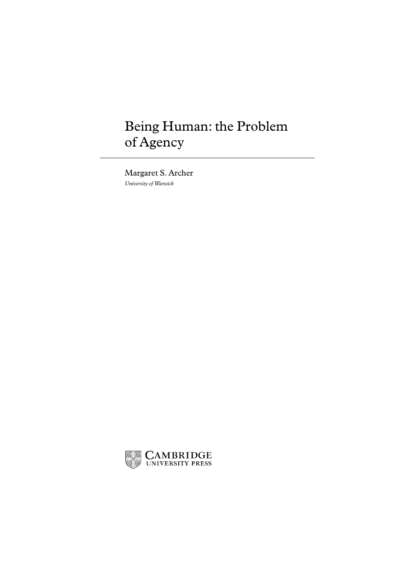# Being Human: the Problem of Agency

Margaret S. Archer *University of Warwick*

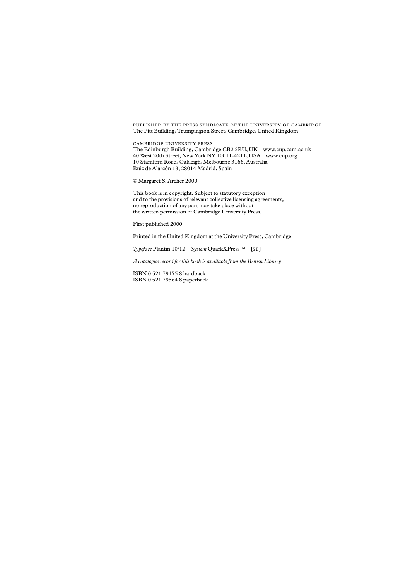PUBLISHED BY THE PRESS SYNDICATE OF THE UNIVERSITY OF CAMBRIDGE The Pitt Building, Trumpington Street, Cambridge, United Kingdom

CAMBRIDGE UNIVERSITY PRESS

The Edinburgh Building, Cambridge CB2 2RU, UK www.cup.cam.ac.uk 40 West 20th Street, New York NY 10011-4211, USA www.cup.org 10 Stamford Road, Oakleigh, Melbourne 3166, Australia Ruiz de Alarcón 13, 28014 Madrid, Spain

© Margaret S. Archer 2000

This book is in copyright. Subject to statutory exception and to the provisions of relevant collective licensing agreements, no reproduction of any part may take place without the written permission of Cambridge University Press.

First published 2000

Printed in the United Kingdom at the University Press, Cambridge

*Typeface* Plantin 10/12 *System* QuarkXPress™ [SE]

*A catalogue record for this book is available from the British Library*

ISBN 0 521 79175 8 hardback ISBN 0 521 79564 8 paperback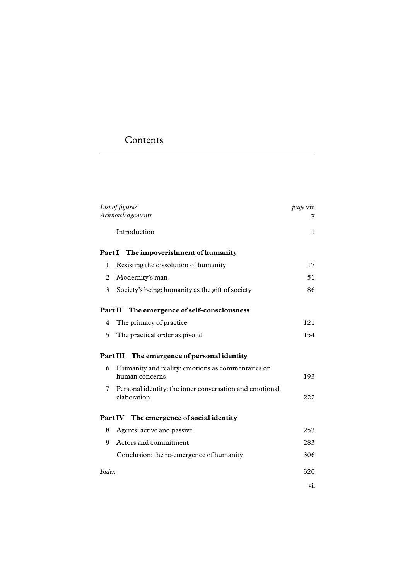# **Contents**

| List of figures<br>Acknowledgements |                                                                        | page viii<br>$\mathbf x$ |
|-------------------------------------|------------------------------------------------------------------------|--------------------------|
|                                     | Introduction                                                           | $\mathbf{1}$             |
| <b>Part I</b>                       | The impoverishment of humanity                                         |                          |
| 1                                   | Resisting the dissolution of humanity                                  | 17                       |
| $\overline{c}$                      | Modernity's man                                                        | 51                       |
| 3                                   | Society's being: humanity as the gift of society                       | 86                       |
| <b>Part II</b>                      | The emergence of self-consciousness                                    |                          |
| 4                                   | The primacy of practice                                                | 121                      |
| 5                                   | The practical order as pivotal                                         | 154                      |
|                                     | The emergence of personal identity<br><b>Part III</b>                  |                          |
| 6                                   | Humanity and reality: emotions as commentaries on<br>human concerns    | 193                      |
| 7                                   | Personal identity: the inner conversation and emotional<br>elaboration | 222                      |
|                                     | Part IV The emergence of social identity                               |                          |
| 8                                   | Agents: active and passive                                             | 253                      |
| 9                                   | Actors and commitment                                                  | 283                      |
|                                     | Conclusion: the re-emergence of humanity                               | 306                      |
| Index                               |                                                                        | 320                      |
|                                     |                                                                        | vii                      |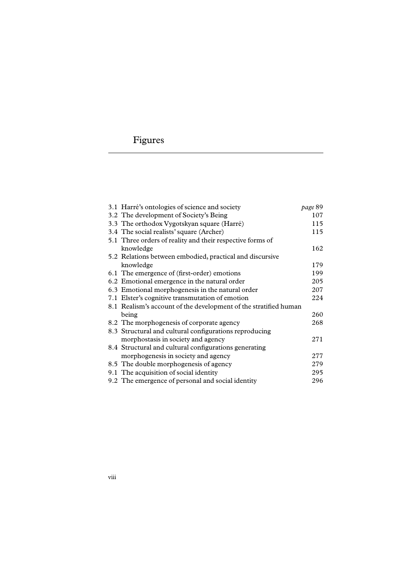# Figures

| 3.1 Harré's ontologies of science and society                    | page 89 |
|------------------------------------------------------------------|---------|
| 3.2 The development of Society's Being                           | 107     |
| 3.3 The orthodox Vygotskyan square (Harré)                       | 115     |
| 3.4 The social realists' square (Archer)                         | 115     |
| 5.1 Three orders of reality and their respective forms of        |         |
| knowledge                                                        | 162     |
| 5.2 Relations between embodied, practical and discursive         |         |
| knowledge                                                        | 179     |
| 6.1 The emergence of (first-order) emotions                      | 199     |
| 6.2 Emotional emergence in the natural order                     | 205     |
| 6.3 Emotional morphogenesis in the natural order                 | 207     |
| 7.1 Elster's cognitive transmutation of emotion                  | 224     |
| 8.1 Realism's account of the development of the stratified human |         |
| being                                                            | 260     |
| 8.2 The morphogenesis of corporate agency                        | 268     |
| 8.3 Structural and cultural configurations reproducing           |         |
| morphostasis in society and agency                               | 271     |
| 8.4 Structural and cultural configurations generating            |         |
| morphogenesis in society and agency                              | 277     |
| 8.5 The double morphogenesis of agency                           | 279     |
| 9.1 The acquisition of social identity                           | 295     |
| 9.2 The emergence of personal and social identity                | 296     |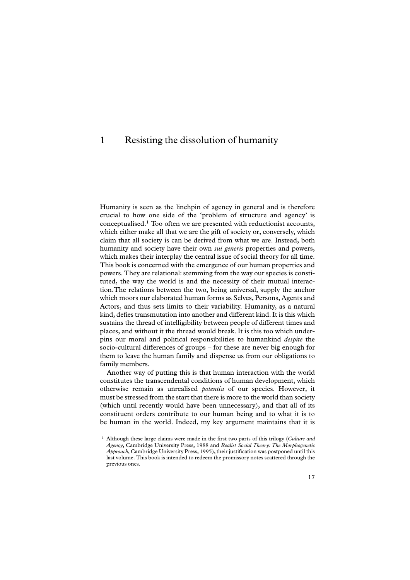Humanity is seen as the linchpin of agency in general and is therefore crucial to how one side of the 'problem of structure and agency' is conceptualised.1 Too often we are presented with reductionist accounts, which either make all that we are the gift of society or, conversely, which claim that all society is can be derived from what we are. Instead, both humanity and society have their own *sui generis* properties and powers, which makes their interplay the central issue of social theory for all time. This book is concerned with the emergence of our human properties and powers. They are relational: stemming from the way our species is constituted, the way the world is and the necessity of their mutual interaction.The relations between the two, being universal, supply the anchor which moors our elaborated human forms as Selves, Persons, Agents and Actors, and thus sets limits to their variability. Humanity, as a natural kind, defies transmutation into another and different kind. It is this which sustains the thread of intelligibility between people of different times and places, and without it the thread would break. It is this too which underpins our moral and political responsibilities to humankind *despite* the socio-cultural differences of groups – for these are never big enough for them to leave the human family and dispense us from our obligations to family members.

Another way of putting this is that human interaction with the world constitutes the transcendental conditions of human development, which otherwise remain as unrealised *potentia* of our species. However, it must be stressed from the start that there is more to the world than society (which until recently would have been unnecessary), and that all of its constituent orders contribute to our human being and to what it is to be human in the world. Indeed, my key argument maintains that it is

<sup>11</sup> Although these large claims were made in the first two parts of this trilogy (*Culture and Agency*, Cambridge University Press, 1988 and *Realist Social Theory: The Morphogenetic Approach*, Cambridge University Press, 1995), their justification was postponed until this last volume. This book is intended to redeem the promissory notes scattered through the previous ones.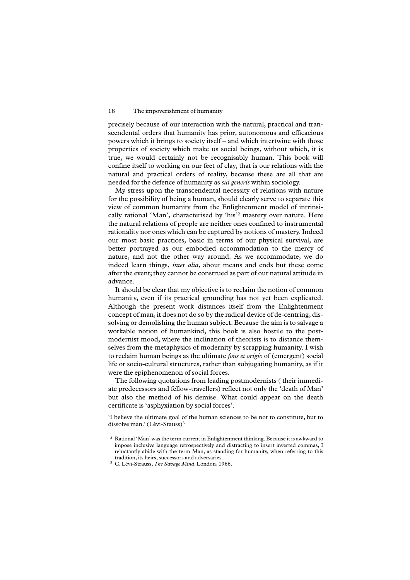precisely because of our interaction with the natural, practical and transcendental orders that humanity has prior, autonomous and efficacious powers which it brings to society itself – and which intertwine with those properties of society which make us social beings, without which, it is true, we would certainly not be recognisably human. This book will confine itself to working on our feet of clay, that is our relations with the natural and practical orders of reality, because these are all that are needed for the defence of humanity as *sui generis* within sociology.

My stress upon the transcendental necessity of relations with nature for the possibility of being a human, should clearly serve to separate this view of common humanity from the Enlightenment model of intrinsically rational 'Man', characterised by 'his'2 mastery over nature. Here the natural relations of people are neither ones confined to instrumental rationality nor ones which can be captured by notions of mastery. Indeed our most basic practices, basic in terms of our physical survival, are better portrayed as our embodied accommodation to the mercy of nature, and not the other way around. As we accommodate, we do indeed learn things, *inter alia*, about means and ends but these come after the event; they cannot be construed as part of our natural attitude in advance.

It should be clear that my objective is to reclaim the notion of common humanity, even if its practical grounding has not yet been explicated. Although the present work distances itself from the Enlightenment concept of man, it does not do so by the radical device of de-centring, dissolving or demolishing the human subject. Because the aim is to salvage a workable notion of humankind, this book is also hostile to the postmodernist mood, where the inclination of theorists is to distance themselves from the metaphysics of modernity by scrapping humanity. I wish to reclaim human beings as the ultimate *fons et origio* of (emergent) social life or socio-cultural structures, rather than subjugating humanity, as if it were the epiphenomenon of social forces.

The following quotations from leading postmodernists ( their immediate predecessors and fellow-travellers) reflect not only the 'death of Man' but also the method of his demise. What could appear on the death certificate is 'asphyxiation by social forces'.

'I believe the ultimate goal of the human sciences to be not to constitute, but to dissolve man.' (Lévi-Stauss)<sup>3</sup>

 $2$  Rational 'Man' was the term current in Enlightenment thinking. Because it is awkward to impose inclusive language retrospectively and distracting to insert inverted commas, I reluctantly abide with the term Man, as standing for humanity, when referring to this tradition, its heirs, successors and adversaries.

<sup>13</sup> C. Lévi-Strauss, *The Savage Mind*, London, 1966.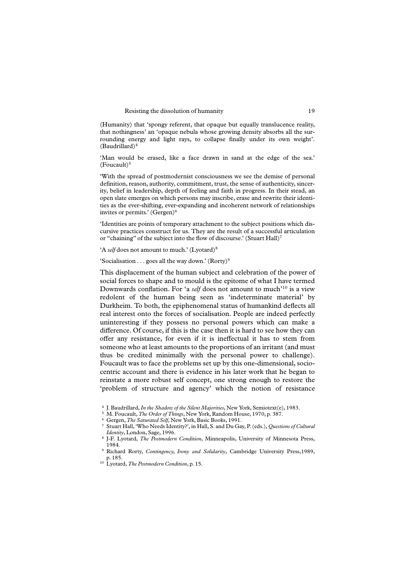(Humanity) that 'spongy referent, that opaque but equally translucence reality, that nothingness' an 'opaque nebula whose growing density absorbs all the surrounding energy and light rays, to collapse finally under its own weight'.  $(Baudrillard)<sup>4</sup>$ 

'Man would be erased, like a face drawn in sand at the edge of the sea.'  $(Foucault)<sup>5</sup>$ 

'With the spread of postmodernist consciousness we see the demise of personal definition, reason, authority, commitment, trust, the sense of authenticity, sincerity, belief in leadership, depth of feeling and faith in progress. In their stead, an open slate emerges on which persons may inscribe, erase and rewrite their identities as the ever-shifting, ever-expanding and incoherent network of relationships invites or permits.' (Gergen)<sup>6</sup>

'Identities are points of temporary attachment to the subject positions which discursive practices construct for us. They are the result of a successful articulation or "chaining" of the subject into the flow of discourse.' (Stuart Hall)7

'A *self* does not amount to much.' (Lyotard)8

'Socialisation . . . goes all the way down.'  $(Rorty)^9$ 

This displacement of the human subject and celebration of the power of social forces to shape and to mould is the epitome of what I have termed Downwards conflation. For 'a *self* does not amount to much'10 is a view redolent of the human being seen as 'indeterminate material' by Durkheim. To both, the epiphenomenal status of humankind deflects all real interest onto the forces of socialisation. People are indeed perfectly uninteresting if they possess no personal powers which can make a difference. Of course, if this is the case then it is hard to see how they can offer any resistance, for even if it is ineffectual it has to stem from someone who at least amounts to the proportions of an irritant (and must thus be credited minimally with the personal power to challenge). Foucault was to face the problems set up by this one-dimensional, sociocentric account and there is evidence in his later work that he began to reinstate a more robust self concept, one strong enough to restore the 'problem of structure and agency' which the notion of resistance

<sup>14</sup> J. Baudrillard,*In the Shadow of the Silent Majorities*, New York, Semiotext(e), 1983.

<sup>15</sup> M. Foucault, *The Order of Things*, New York, Random House, 1970, p. 387.

<sup>16</sup> Gergen, *The Saturated Self*, New York, Basic Books, 1991.

<sup>17</sup> Stuart Hall, 'Who Needs Identity?', in Hall, S. and Du Gay, P. (eds.), *Questions of Cultural Identity*, London, Sage, 1996.

<sup>&</sup>lt;sup>8</sup> J-F. Lyotard, *The Postmodern Condition*, Minneapolis, University of Minnesota Press, 1984.

<sup>19</sup> Richard Rorty, *Contingency, Irony and Solidarity*, Cambridge University Press,1989, p. 185.

<sup>10</sup> Lyotard, *The Postmodern Condition*, p. 15.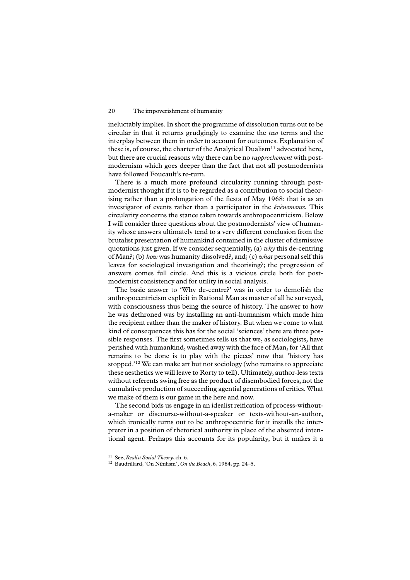ineluctably implies. In short the programme of dissolution turns out to be circular in that it returns grudgingly to examine the *two* terms and the interplay between them in order to account for outcomes. Explanation of these is, of course, the charter of the Analytical Dualism<sup>11</sup> advocated here, but there are crucial reasons why there can be no *rapprochement* with postmodernism which goes deeper than the fact that not all postmodernists have followed Foucault's re-turn.

There is a much more profound circularity running through postmodernist thought if it is to be regarded as a contribution to social theorising rather than a prolongation of the fiesta of May 1968: that is as an investigator of events rather than a participator in the *évènements.* This circularity concerns the stance taken towards anthropocentricism. Below I will consider three questions about the postmodernists' view of humanity whose answers ultimately tend to a very different conclusion from the brutalist presentation of humankind contained in the cluster of dismissive quotations just given. If we consider sequentially, (a) *why* this de-centring of Man?; (b) *how* was humanity dissolved?, and; (c) *what* personal self this leaves for sociological investigation and theorising?; the progression of answers comes full circle. And this is a vicious circle both for postmodernist consistency and for utility in social analysis.

The basic answer to 'Why de-centre?' was in order to demolish the anthropocentricism explicit in Rational Man as master of all he surveyed, with consciousness thus being the source of history. The answer to how he was dethroned was by installing an anti-humanism which made him the recipient rather than the maker of history. But when we come to what kind of consequences this has for the social 'sciences' there are three possible responses. The first sometimes tells us that we, as sociologists, have perished with humankind, washed away with the face of Man, for 'All that remains to be done is to play with the pieces' now that 'history has stopped.'12 We can make art but not sociology (who remains to appreciate these aesthetics we will leave to Rorty to tell). Ultimately, author-less texts without referents swing free as the product of disembodied forces, not the cumulative production of succeeding agential generations of critics. What we make of them is our game in the here and now.

The second bids us engage in an idealist reification of process-withouta-maker or discourse-without-a-speaker or texts-without-an-author, which ironically turns out to be anthropocentric for it installs the interpreter in a position of rhetorical authority in place of the absented intentional agent. Perhaps this accounts for its popularity, but it makes it a

<sup>11</sup> See, *Realist Social Theory*, ch. 6.

<sup>12</sup> Baudrillard, 'On Nihilism', *On the Beach*, 6, 1984, pp. 24–5.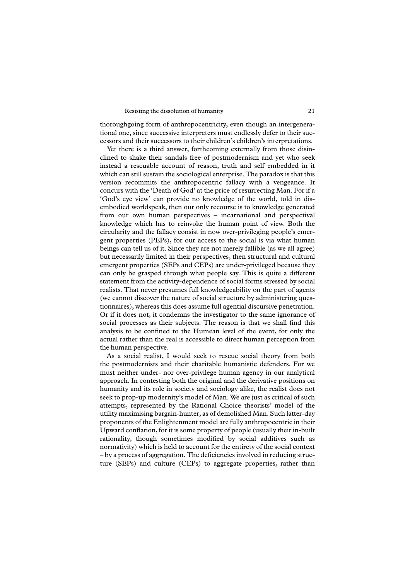thoroughgoing form of anthropocentricity, even though an intergenerational one, since successive interpreters must endlessly defer to their successors and their successors to their children's children's interpretations.

Yet there is a third answer, forthcoming externally from those disinclined to shake their sandals free of postmodernism and yet who seek instead a rescuable account of reason, truth and self embedded in it which can still sustain the sociological enterprise. The paradox is that this version recommits the anthropocentric fallacy with a vengeance. It concurs with the 'Death of God' at the price of resurrecting Man. For if a 'God's eye view' can provide no knowledge of the world, told in disembodied worldspeak, then our only recourse is to knowledge generated from our own human perspectives – incarnational and perspectival knowledge which has to reinvoke the human point of view. Both the circularity and the fallacy consist in now over-privileging people's emergent properties (PEPs), for our access to the social is via what human beings can tell us of it. Since they are not merely fallible (as we all agree) but necessarily limited in their perspectives, then structural and cultural emergent properties (SEPs and CEPs) are under-privileged because they can only be grasped through what people say. This is quite a different statement from the activity-dependence of social forms stressed by social realists. That never presumes full knowledgeability on the part of agents (we cannot discover the nature of social structure by administering questionnaires), whereas this does assume full agential discursive penetration. Or if it does not, it condemns the investigator to the same ignorance of social processes as their subjects. The reason is that we shall find this analysis to be confined to the Humean level of the event, for only the actual rather than the real is accessible to direct human perception from the human perspective.

As a social realist, I would seek to rescue social theory from both the postmodernists and their charitable humanistic defenders. For we must neither under- nor over-privilege human agency in our analytical approach. In contesting both the original and the derivative positions on humanity and its role in society and sociology alike, the realist does not seek to prop-up modernity's model of Man. We are just as critical of such attempts, represented by the Rational Choice theorists' model of the utility maximising bargain-hunter, as of demolished Man. Such latter-day proponents of the Enlightenment model are fully anthropocentric in their Upward conflation, for it is some property of people (usually their in-built rationality, though sometimes modified by social additives such as normativity) which is held to account for the entirety of the social context – by a process of aggregation. The deficiencies involved in reducing structure (SEPs) and culture (CEPs) to aggregate properties, rather than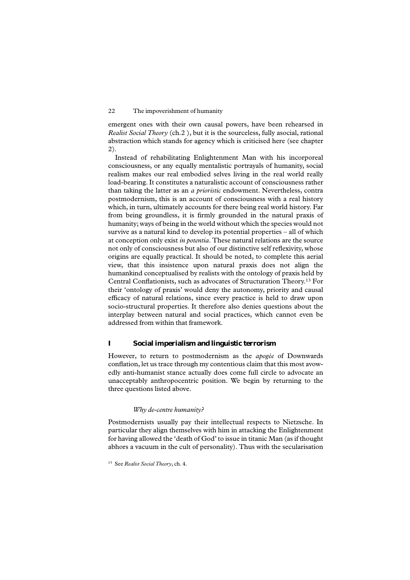emergent ones with their own causal powers, have been rehearsed in *Realist Social Theory* (ch.2 ), but it is the sourceless, fully asocial, rational abstraction which stands for agency which is criticised here (see chapter 2).

Instead of rehabilitating Enlightenment Man with his incorporeal consciousness, or any equally mentalistic portrayals of humanity, social realism makes our real embodied selves living in the real world really load-bearing. It constitutes a naturalistic account of consciousness rather than taking the latter as an *a prioristic* endowment. Nevertheless, contra postmodernism, this is an account of consciousness with a real history which, in turn, ultimately accounts for there being real world history. Far from being groundless, it is firmly grounded in the natural praxis of humanity; ways of being in the world without which the species would not survive as a natural kind to develop its potential properties – all of which at conception only exist *in potentia*. These natural relations are the source not only of consciousness but also of our distinctive self reflexivity, whose origins are equally practical. It should be noted, to complete this aerial view, that this insistence upon natural praxis does not align the humankind conceptualised by realists with the ontology of praxis held by Central Conflationists, such as advocates of Structuration Theory.13 For their 'ontology of praxis' would deny the autonomy, priority and causal efficacy of natural relations, since every practice is held to draw upon socio-structural properties. It therefore also denies questions about the interplay between natural and social practices, which cannot even be addressed from within that framework.

# **I Social imperialism and linguistic terrorism**

However, to return to postmodernism as the *apogée* of Downwards conflation, let us trace through my contentious claim that this most avowedly anti-humanist stance actually does come full circle to advocate an unacceptably anthropocentric position. We begin by returning to the three questions listed above.

## *Why de-centre humanity?*

Postmodernists usually pay their intellectual respects to Nietzsche. In particular they align themselves with him in attacking the Enlightenment for having allowed the 'death of God' to issue in titanic Man (as if thought abhors a vacuum in the cult of personality). Thus with the secularisation

<sup>13</sup> See *Realist Social Theory*, ch. 4.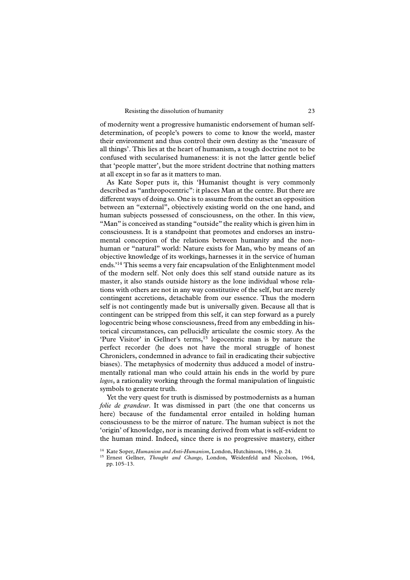of modernity went a progressive humanistic endorsement of human selfdetermination, of people's powers to come to know the world, master their environment and thus control their own destiny as the 'measure of all things'. This lies at the heart of humanism, a tough doctrine not to be confused with secularised humaneness: it is not the latter gentle belief that 'people matter', but the more strident doctrine that nothing matters at all except in so far as it matters to man.

As Kate Soper puts it, this 'Humanist thought is very commonly described as "anthropocentric": it places Man at the centre. But there are different ways of doing so. One is to assume from the outset an opposition between an "external", objectively existing world on the one hand, and human subjects possessed of consciousness, on the other. In this view, "Man" is conceived as standing "outside" the reality which is given him in consciousness. It is a standpoint that promotes and endorses an instrumental conception of the relations between humanity and the nonhuman or "natural" world: Nature exists for Man, who by means of an objective knowledge of its workings, harnesses it in the service of human ends.'14 This seems a very fair encapsulation of the Enlightenment model of the modern self. Not only does this self stand outside nature as its master, it also stands outside history as the lone individual whose relations with others are not in any way constitutive of the self, but are merely contingent accretions, detachable from our essence. Thus the modern self is not contingently made but is universally given. Because all that is contingent can be stripped from this self, it can step forward as a purely logocentric being whose consciousness, freed from any embedding in historical circumstances, can pellucidly articulate the cosmic story. As the 'Pure Visitor' in Gellner's terms,<sup>15</sup> logocentric man is by nature the perfect recorder (he does not have the moral struggle of honest Chroniclers, condemned in advance to fail in eradicating their subjective biases). The metaphysics of modernity thus adduced a model of instrumentally rational man who could attain his ends in the world by pure *logos*, a rationality working through the formal manipulation of linguistic symbols to generate truth.

Yet the very quest for truth is dismissed by postmodernists as a human *folie de grandeur*. It was dismissed in part (the one that concerns us here) because of the fundamental error entailed in holding human consciousness to be the mirror of nature. The human subject is not the 'origin' of knowledge, nor is meaning derived from what is self-evident to the human mind. Indeed, since there is no progressive mastery, either

<sup>14</sup> Kate Soper, *Humanism and Anti-Humanism*, London, Hutchinson, 1986, p. 24.

<sup>15</sup> Ernest Gellner, *Thought and Change*, London, Weidenfeld and Nicolson, 1964, pp. 105–13.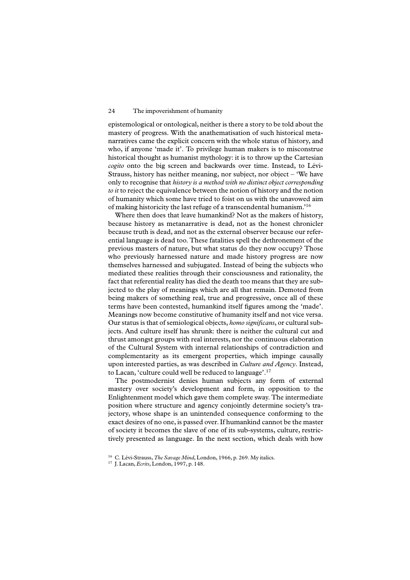epistemological or ontological, neither is there a story to be told about the mastery of progress. With the anathematisation of such historical metanarratives came the explicit concern with the whole status of history, and who, if anyone 'made it'. To privilege human makers is to misconstrue historical thought as humanist mythology: it is to throw up the Cartesian *cogito* onto the big screen and backwards over time. Instead, to Lévi-Strauss, history has neither meaning, nor subject, nor object – 'We have only to recognise that *history is a method with no distinct object corresponding to it* to reject the equivalence between the notion of history and the notion of humanity which some have tried to foist on us with the unavowed aim of making historicity the last refuge of a transcendental humanism.'16

Where then does that leave humankind? Not as the makers of history, because history as metanarrative is dead, not as the honest chronicler because truth is dead, and not as the external observer because our referential language is dead too. These fatalities spell the dethronement of the previous masters of nature, but what status do they now occupy? Those who previously harnessed nature and made history progress are now themselves harnessed and subjugated. Instead of being the subjects who mediated these realities through their consciousness and rationality, the fact that referential reality has died the death too means that they are subjected to the play of meanings which are all that remain. Demoted from being makers of something real, true and progressive, once all of these terms have been contested, humankind itself figures among the 'made'. Meanings now become constitutive of humanity itself and not vice versa. Our status is that of semiological objects, *homo significans*, or cultural subjects. And culture itself has shrunk: there is neither the cultural cut and thrust amongst groups with real interests, nor the continuous elaboration of the Cultural System with internal relationships of contradiction and complementarity as its emergent properties, which impinge causally upon interested parties, as was described in *Culture and Agency*. Instead, to Lacan, 'culture could well be reduced to language'.17

The postmodernist denies human subjects any form of external mastery over society's development and form, in opposition to the Enlightenment model which gave them complete sway. The intermediate position where structure and agency conjointly determine society's trajectory, whose shape is an unintended consequence conforming to the exact desires of no one, is passed over. If humankind cannot be the master of society it becomes the slave of one of its sub-systems, culture, restrictively presented as language. In the next section, which deals with how

<sup>16</sup> C. Lévi-Strauss, *The Savage Mind*, London, 1966, p. 269. My italics.

<sup>17</sup> J. Lacan, *Ecrits*, London, 1997, p. 148.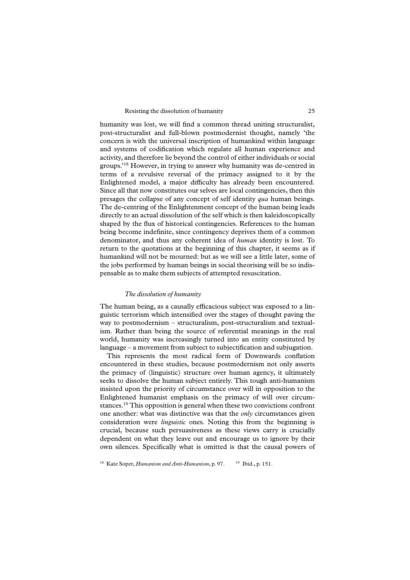humanity was lost, we will find a common thread uniting structuralist, post-structuralist and full-blown postmodernist thought, namely 'the concern is with the universal inscription of humankind within language and systems of codification which regulate all human experience and activity, and therefore lie beyond the control of either individuals or social groups.'18 However, in trying to answer why humanity was de-centred in terms of a revulsive reversal of the primacy assigned to it by the Enlightened model, a major difficulty has already been encountered. Since all that now constitutes our selves are local contingencies, then this presages the collapse of any concept of self identity *qua* human beings. The de-centring of the Enlightenment concept of the human being leads directly to an actual dissolution of the self which is then kaleidoscopically shaped by the flux of historical contingencies. References to the human being become indefinite, since contingency deprives them of a common denominator, and thus any coherent idea of *human* identity is lost. To return to the quotations at the beginning of this chapter, it seems as if humankind will not be mourned: but as we will see a little later, some of the jobs performed by human beings in social theorising will be so indispensable as to make them subjects of attempted resuscitation.

### *The dissolution of humanity*

The human being, as a causally efficacious subject was exposed to a linguistic terrorism which intensified over the stages of thought paving the way to postmodernism – structuralism, post-structuralism and textualism. Rather than being the source of referential meanings in the real world, humanity was increasingly turned into an entity constituted by language – a movement from subject to subjectification and subjugation.

This represents the most radical form of Downwards conflation encountered in these studies, because postmodernism not only asserts the primacy of (linguistic) structure over human agency, it ultimately seeks to dissolve the human subject entirely. This tough anti-humanism insisted upon the priority of circumstance over will in opposition to the Enlightened humanist emphasis on the primacy of will over circumstances.19 This opposition is general when these two convictions confront one another: what was distinctive was that the *only* circumstances given consideration were *linguistic* ones. Noting this from the beginning is crucial, because such persuasiveness as these views carry is crucially dependent on what they leave out and encourage us to ignore by their own silences. Specifically what is omitted is that the causal powers of

<sup>&</sup>lt;sup>18</sup> Kate Soper, *Humanism and Anti-Humanism*, p. 97. <sup>19</sup> Ibid., p. 151.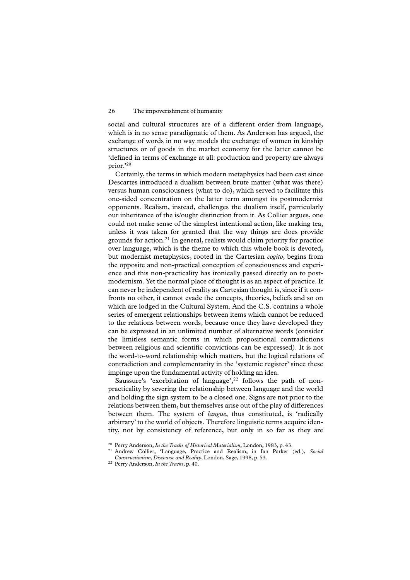social and cultural structures are of a different order from language, which is in no sense paradigmatic of them. As Anderson has argued, the exchange of words in no way models the exchange of women in kinship structures or of goods in the market economy for the latter cannot be 'defined in terms of exchange at all: production and property are always prior.'20

Certainly, the terms in which modern metaphysics had been cast since Descartes introduced a dualism between brute matter (what was there) versus human consciousness (what to do), which served to facilitate this one-sided concentration on the latter term amongst its postmodernist opponents. Realism, instead, challenges the dualism itself, particularly our inheritance of the is/ought distinction from it. As Collier argues, one could not make sense of the simplest intentional action, like making tea, unless it was taken for granted that the way things are does provide grounds for action.<sup>21</sup> In general, realists would claim priority for practice over language, which is the theme to which this whole book is devoted, but modernist metaphysics, rooted in the Cartesian *cogito*, begins from the opposite and non-practical conception of consciousness and experience and this non-practicality has ironically passed directly on to postmodernism. Yet the normal place of thought is as an aspect of practice. It can never be independent of reality as Cartesian thought is, since if it confronts no other, it cannot evade the concepts, theories, beliefs and so on which are lodged in the Cultural System. And the C.S. contains a whole series of emergent relationships between items which cannot be reduced to the relations between words, because once they have developed they can be expressed in an unlimited number of alternative words (consider the limitless semantic forms in which propositional contradictions between religious and scientific convictions can be expressed). It is not the word-to-word relationship which matters, but the logical relations of contradiction and complementarity in the 'systemic register' since these impinge upon the fundamental activity of holding an idea.

Saussure's 'exorbitation of language', $22$  follows the path of nonpracticality by severing the relationship between language and the world and holding the sign system to be a closed one. Signs are not prior to the relations between them, but themselves arise out of the play of differences between them. The system of *langue*, thus constituted, is 'radically arbitrary' to the world of objects. Therefore linguistic terms acquire identity, not by consistency of reference, but only in so far as they are

<sup>20</sup> Perry Anderson,*In the Tracks of Historical Materialism*, London, 1983, p. 43.

<sup>21</sup> Andrew Collier, 'Language, Practice and Realism, in Ian Parker (ed.), *Social Constructionism,Discourse and Reality*, London, Sage, 1998, p. 53.

<sup>22</sup> Perry Anderson,*In the Tracks*, p. 40.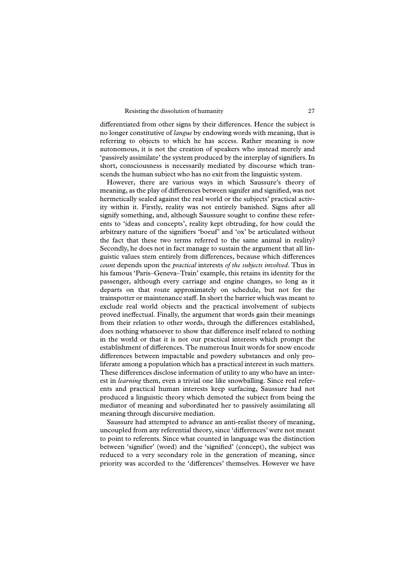differentiated from other signs by their differences. Hence the subject is no longer constitutive of *langue* by endowing words with meaning, that is referring to objects to which he has access. Rather meaning is now autonomous, it is not the creation of speakers who instead merely and 'passively assimilate' the system produced by the interplay of signifiers. In short, consciousness is necessarily mediated by discourse which transcends the human subject who has no exit from the linguistic system.

However, there are various ways in which Saussure's theory of meaning, as the play of differences between signifer and signified, was not hermetically sealed against the real world or the subjects' practical activity within it. Firstly, reality was not entirely banished. Signs after all signify something, and, although Saussure sought to confine these referents to 'ideas and concepts', reality kept obtruding, for how could the arbitrary nature of the signifiers 'boeuf' and 'ox' be articulated without the fact that these two terms referred to the same animal in reality? Secondly, he does not in fact manage to sustain the argument that all linguistic values stem entirely from differences, because which differences *count* depends upon the *practical* interests *of the subjects involved*. Thus in his famous 'Paris–Geneva–Train' example, this retains its identity for the passenger, although every carriage and engine changes, so long as it departs on that route approximately on schedule, but not for the trainspotter or maintenance staff. In short the barrier which was meant to exclude real world objects and the practical involvement of subjects proved ineffectual. Finally, the argument that words gain their meanings from their relation to other words, through the differences established, does nothing whatsoever to show that difference itself related to nothing in the world or that it is not our practical interests which prompt the establishment of differences. The numerous Inuit words for snow encode differences between impactable and powdery substances and only proliferate among a population which has a practical interest in such matters. These differences disclose information of utility to any who have an interest in *learning* them, even a trivial one like snowballing. Since real referents and practical human interests keep surfacing, Saussure had not produced a linguistic theory which demoted the subject from being the mediator of meaning and subordinated her to passively assimilating all meaning through discursive mediation.

Saussure had attempted to advance an anti-realist theory of meaning, uncoupled from any referential theory, since 'differences' were not meant to point to referents. Since what counted in language was the distinction between 'signifier' (word) and the 'signified' (concept), the subject was reduced to a very secondary role in the generation of meaning, since priority was accorded to the 'differences' themselves. However we have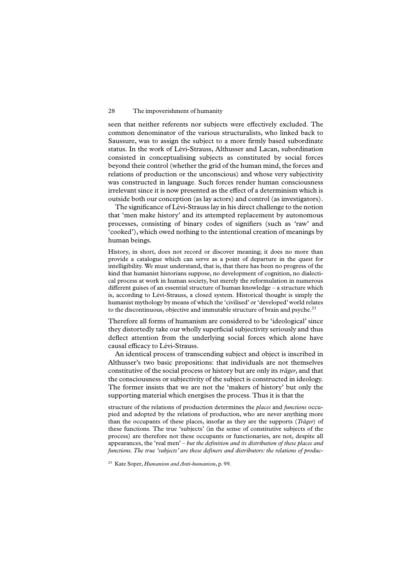seen that neither referents nor subjects were effectively excluded. The common denominator of the various structuralists, who linked back to Saussure, was to assign the subject to a more firmly based subordinate status. In the work of Lévi-Strauss, Althusser and Lacan, subordination consisted in conceptualising subjects as constituted by social forces beyond their control (whether the grid of the human mind, the forces and relations of production or the unconscious) and whose very subjectivity was constructed in language. Such forces render human consciousness irrelevant since it is now presented as the effect of a determinism which is outside both our conception (as lay actors) and control (as investigators).

The significance of Lévi-Strauss lay in his direct challenge to the notion that 'men make history' and its attempted replacement by autonomous processes, consisting of binary codes of signifiers (such as 'raw' and 'cooked'), which owed nothing to the intentional creation of meanings by human beings.

History, in short, does not record or discover meaning; it does no more than provide a catalogue which can serve as a point of departure in the quest for intelligibility. We must understand, that is, that there has been no progress of the kind that humanist historians suppose, no development of cognition, no dialectical process at work in human society, but merely the reformulation in numerous different guises of an essential structure of human knowledge – a structure which is, according to Lévi-Strauss, a closed system. Historical thought is simply the humanist mythology by means of which the 'civilised' or 'developed' world relates to the discontinuous, objective and immutable structure of brain and psyche.<sup>23</sup>

Therefore all forms of humanism are considered to be 'ideological' since they distortedly take our wholly superficial subjectivity seriously and thus deflect attention from the underlying social forces which alone have causal efficacy to Lévi-Strauss.

An identical process of transcending subject and object is inscribed in Althusser's two basic propositions: that individuals are not themselves constitutive of the social process or history but are only its *träger*, and that the consciousness or subjectivity of the subject is constructed in ideology. The former insists that we are not the 'makers of history' but only the supporting material which energises the process. Thus it is that the

structure of the relations of production determines the *places* and *functions* occupied and adopted by the relations of production, who are never anything more than the occupants of these places, insofar as they are the supports (*Träger*) of these functions. The true 'subjects' (in the sense of constitutive subjects of the process) are therefore not these occupants or functionaries, are not, despite all appearances, the 'real men' – *but the definition and its distribution of these places and functions. The true 'subjects' are these definers and distributors: the relations of produc-*

<sup>23</sup> Kate Soper, *Humanism and Anti-humanism*, p. 99.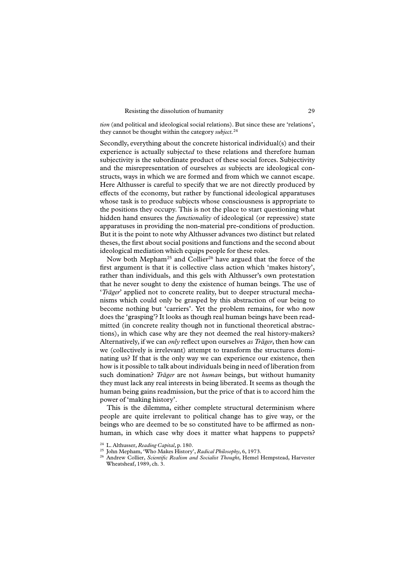*tion* (and political and ideological social relations). But since these are 'relations', they cannot be thought within the category *subject.*<sup>24</sup>

Secondly, everything about the concrete historical individual(s) and their experience is actually subject*ed* to these relations and therefore human subjectivity is the subordinate product of these social forces. Subjectivity and the misrepresentation of ourselves *as* subjects are ideological constructs, ways in which we are formed and from which we cannot escape. Here Althusser is careful to specify that we are not directly produced by effects of the economy, but rather by functional ideological apparatuses whose task is to produce subjects whose consciousness is appropriate to the positions they occupy. This is not the place to start questioning what hidden hand ensures the *functionality* of ideological (or repressive) state apparatuses in providing the non-material pre-conditions of production. But it is the point to note why Althusser advances two distinct but related theses, the first about social positions and functions and the second about ideological mediation which equips people for these roles.

Now both Mepham<sup>25</sup> and Collier<sup>26</sup> have argued that the force of the first argument is that it is collective class action which 'makes history', rather than individuals, and this gels with Althusser's own protestation that he never sought to deny the existence of human beings. The use of '*Träger*' applied not to concrete reality, but to deeper structural mechanisms which could only be grasped by this abstraction of our being to become nothing but 'carriers'. Yet the problem remains, for who now does the 'grasping'? It looks as though real human beings have been readmitted (in concrete reality though not in functional theoretical abstractions), in which case why are they not deemed the real history-makers? Alternatively, if we can *only* reflect upon ourselves *as Träger*, then how can we (collectively is irrelevant) attempt to transform the structures dominating us? If that is the only way we can experience our existence, then how is it possible to talk about individuals being in need of liberation from such domination? *Träger* are not *human* beings, but without humanity they must lack any real interests in being liberated. It seems as though the human being gains readmission, but the price of that is to accord him the power of 'making history'.

This is the dilemma, either complete structural determinism where people are quite irrelevant to political change has to give way, or the beings who are deemed to be so constituted have to be affirmed as nonhuman, in which case why does it matter what happens to puppets?

<sup>24</sup> L. Althusser, *Reading Capital*, p. 180.

<sup>25</sup> John Mepham, 'Who Makes History', *Radical Philosophy*, 6, 1973.

<sup>&</sup>lt;sup>26</sup> Andrew Collier, *Scientific Realism and Socialist Thought*, Hemel Hempstead, Harvester Wheatsheaf, 1989, ch. 3.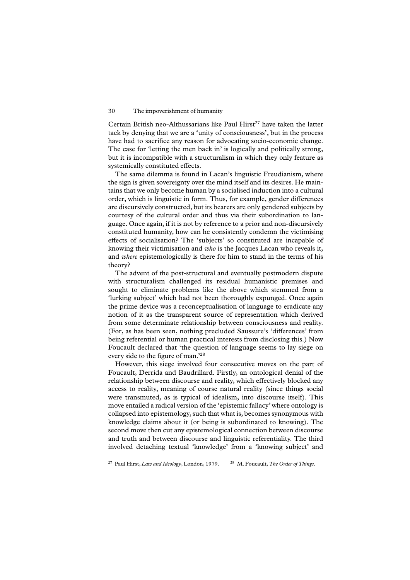Certain British neo-Althussarians like Paul Hirst<sup>27</sup> have taken the latter tack by denying that we are a 'unity of consciousness', but in the process have had to sacrifice any reason for advocating socio-economic change. The case for 'letting the men back in' is logically and politically strong, but it is incompatible with a structuralism in which they only feature as systemically constituted effects.

The same dilemma is found in Lacan's linguistic Freudianism, where the sign is given sovereignty over the mind itself and its desires. He maintains that we only become human by a socialised induction into a cultural order, which is linguistic in form. Thus, for example, gender differences are discursively constructed, but its bearers are only gendered subjects by courtesy of the cultural order and thus via their subordination to language. Once again, if it is not by reference to a prior and non-discursively constituted humanity, how can he consistently condemn the victimising effects of socialisation? The 'subjects' so constituted are incapable of knowing their victimisation and *who* is the Jacques Lacan who reveals it, and *where* epistemologically is there for him to stand in the terms of his theory?

The advent of the post-structural and eventually postmodern dispute with structuralism challenged its residual humanistic premises and sought to eliminate problems like the above which stemmed from a 'lurking subject' which had not been thoroughly expunged. Once again the prime device was a reconceptualisation of language to eradicate any notion of it as the transparent source of representation which derived from some determinate relationship between consciousness and reality. (For, as has been seen, nothing precluded Saussure's 'differences' from being referential or human practical interests from disclosing this.) Now Foucault declared that 'the question of language seems to lay siege on every side to the figure of man.'28

However, this siege involved four consecutive moves on the part of Foucault, Derrida and Baudrillard. Firstly, an ontological denial of the relationship between discourse and reality, which effectively blocked any access to reality, meaning of course natural reality (since things social were transmuted, as is typical of idealism, into discourse itself). This move entailed a radical version of the 'epistemic fallacy' where ontology is collapsed into epistemology, such that what is, becomes synonymous with knowledge claims about it (or being is subordinated to knowing). The second move then cut any epistemological connection between discourse and truth and between discourse and linguistic referentiality. The third involved detaching textual 'knowledge' from a 'knowing subject' and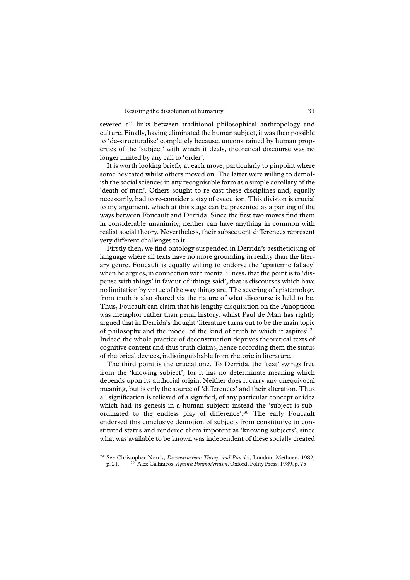severed all links between traditional philosophical anthropology and culture. Finally, having eliminated the human subject, it was then possible to 'de-structuralise' completely because, unconstrained by human properties of the 'subject' with which it deals, theoretical discourse was no longer limited by any call to 'order'.

It is worth looking briefly at each move, particularly to pinpoint where some hesitated whilst others moved on. The latter were willing to demolish the social sciences in any recognisable form as a simple corollary of the 'death of man'. Others sought to re-cast these disciplines and, equally necessarily, had to re-consider a stay of execution. This division is crucial to my argument, which at this stage can be presented as a parting of the ways between Foucault and Derrida. Since the first two moves find them in considerable unanimity, neither can have anything in common with realist social theory. Nevertheless, their subsequent differences represent very different challenges to it.

Firstly then, we find ontology suspended in Derrida's aestheticising of language where all texts have no more grounding in reality than the literary genre. Foucault is equally willing to endorse the 'epistemic fallacy' when he argues, in connection with mental illness, that the point is to 'dispense with things' in favour of 'things said', that is discourses which have no limitation by virtue of the way things are. The severing of epistemology from truth is also shared via the nature of what discourse is held to be. Thus, Foucault can claim that his lengthy disquisition on the Panopticon was metaphor rather than penal history, whilst Paul de Man has rightly argued that in Derrida's thought 'literature turns out to be the main topic of philosophy and the model of the kind of truth to which it aspires'.29 Indeed the whole practice of deconstruction deprives theoretical texts of cognitive content and thus truth claims, hence according them the status of rhetorical devices, indistinguishable from rhetoric in literature.

The third point is the crucial one. To Derrida, the 'text' swings free from the 'knowing subject', for it has no determinate meaning which depends upon its authorial origin. Neither does it carry any unequivocal meaning, but is only the source of 'differences' and their alteration. Thus all signification is relieved of a signified, of any particular concept or idea which had its genesis in a human subject: instead the 'subject is subordinated to the endless play of difference'.30 The early Foucault endorsed this conclusive demotion of subjects from constitutive to constituted status and rendered them impotent as 'knowing subjects', since what was available to be known was independent of these socially created

<sup>29</sup> See Christopher Norris, *Deconstruction: Theory and Practice*, London, Methuen, 1982, p. 21. <sup>30</sup> Alex Callinicos, *Against Postmodernism*, Oxford, Polity Press, 1989, p. 75.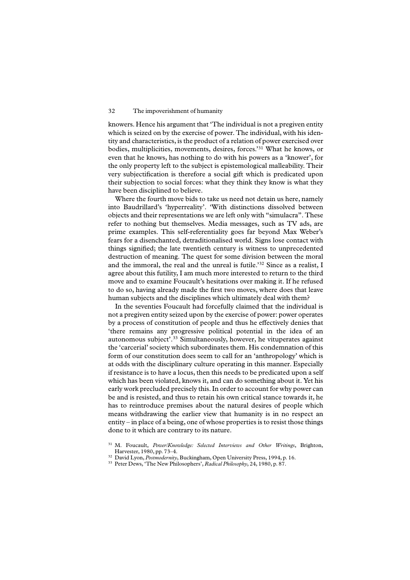knowers. Hence his argument that 'The individual is not a pregiven entity which is seized on by the exercise of power. The individual, with his identity and characteristics, is the product of a relation of power exercised over bodies, multiplicities, movements, desires, forces.'31 What he knows, or even that he knows, has nothing to do with his powers as a 'knower', for the only property left to the subject is epistemological malleability. Their very subjectification is therefore a social gift which is predicated upon their subjection to social forces: what they think they know is what they have been disciplined to believe.

Where the fourth move bids to take us need not detain us here, namely into Baudrillard's 'hyperreality'. 'With distinctions dissolved between objects and their representations we are left only with "simulacra". These refer to nothing but themselves. Media messages, such as TV ads, are prime examples. This self-referentiality goes far beyond Max Weber's fears for a disenchanted, detraditionalised world. Signs lose contact with things signified; the late twentieth century is witness to unprecedented destruction of meaning. The quest for some division between the moral and the immoral, the real and the unreal is futile.'<sup>32</sup> Since as a realist, I agree about this futility, I am much more interested to return to the third move and to examine Foucault's hesitations over making it. If he refused to do so, having already made the first two moves, where does that leave human subjects and the disciplines which ultimately deal with them?

In the seventies Foucault had forcefully claimed that the individual is not a pregiven entity seized upon by the exercise of power: power operates by a process of constitution of people and thus he effectively denies that 'there remains any progressive political potential in the idea of an autonomous subject'.<sup>33</sup> Simultaneously, however, he vituperates against the 'carcerial' society which subordinates them. His condemnation of this form of our constitution does seem to call for an 'anthropology' which is at odds with the disciplinary culture operating in this manner. Especially if resistance is to have a locus, then this needs to be predicated upon a self which has been violated, knows it, and can do something about it. Yet his early work precluded precisely this. In order to account for why power can be and is resisted, and thus to retain his own critical stance towards it, he has to reintroduce premises about the natural desires of people which means withdrawing the earlier view that humanity is in no respect an entity – in place of a being, one of whose properties is to resist those things done to it which are contrary to its nature.

<sup>31</sup> M. Foucault, *Power/Knowledge: Selected Interviews and Other Writings*, Brighton, Harvester, 1980, pp. 73–4.

<sup>32</sup> David Lyon, *Postmodernity*, Buckingham, Open University Press, 1994, p. 16.

<sup>33</sup> Peter Dews, 'The New Philosophers', *Radical Philosophy*, 24, 1980, p. 87.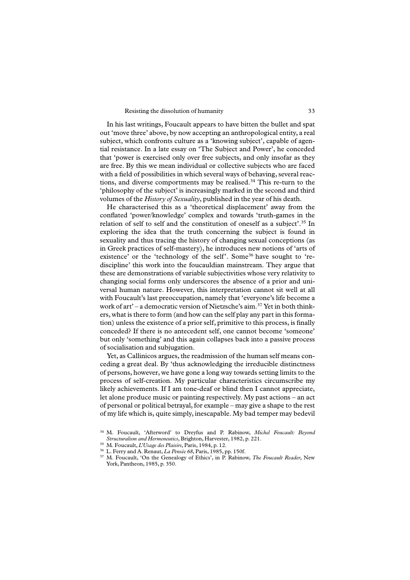In his last writings, Foucault appears to have bitten the bullet and spat out 'move three' above, by now accepting an anthropological entity, a real subject, which confronts culture as a 'knowing subject', capable of agential resistance. In a late essay on 'The Subject and Power', he conceded that 'power is exercised only over free subjects, and only insofar as they are free. By this we mean individual or collective subjects who are faced with a field of possibilities in which several ways of behaving, several reactions, and diverse comportments may be realised.<sup>34</sup> This re-turn to the 'philosophy of the subject' is increasingly marked in the second and third volumes of the *History of Sexuality*, published in the year of his death.

He characterised this as a 'theoretical displacement' away from the conflated 'power/knowledge' complex and towards 'truth-games in the relation of self to self and the constitution of oneself as a subject'.<sup>35</sup> In exploring the idea that the truth concerning the subject is found in sexuality and thus tracing the history of changing sexual conceptions (as in Greek practices of self-mastery), he introduces new notions of 'arts of existence' or the 'technology of the self'. Some<sup>36</sup> have sought to 'rediscipline' this work into the foucauldian mainstream. They argue that these are demonstrations of variable subjectivities whose very relativity to changing social forms only underscores the absence of a prior and universal human nature. However, this interpretation cannot sit well at all with Foucault's last preoccupation, namely that 'everyone's life become a work of art' – a democratic version of Nietzsche's aim.<sup>37</sup> Yet in both thinkers, what is there to form (and how can the self play any part in this formation) unless the existence of a prior self, primitive to this process, is finally conceded? If there is no antecedent self, one cannot become 'someone' but only 'something' and this again collapses back into a passive process of socialisation and subjugation.

Yet, as Callinicos argues, the readmission of the human self means conceding a great deal. By 'thus acknowledging the irreducible distinctness of persons, however, we have gone a long way towards setting limits to the process of self-creation. My particular characteristics circumscribe my likely achievements. If I am tone-deaf or blind then I cannot appreciate, let alone produce music or painting respectively. My past actions – an act of personal or political betrayal, for example – may give a shape to the rest of my life which is, quite simply, inescapable. My bad temper may bedevil

<sup>34</sup> M. Foucault, 'Afterword' to Dreyfus and P. Rabinow, *Michel Foucault: Beyond Structuralism and Hermeneutics*, Brighton, Harvester, 1982, p. 221.

<sup>35</sup> M. Foucault, *L'Usage des Plaisirs*, Paris, 1984, p. 12.

<sup>36</sup> L. Ferry and A. Renaut, *La Pensée 68*, Paris, 1985, pp. 150f.

<sup>37</sup> M. Foucault, 'On the Genealogy of Ethics', in P. Rabinow, *The Foucault Reader*, New York, Pantheon, 1985, p. 350.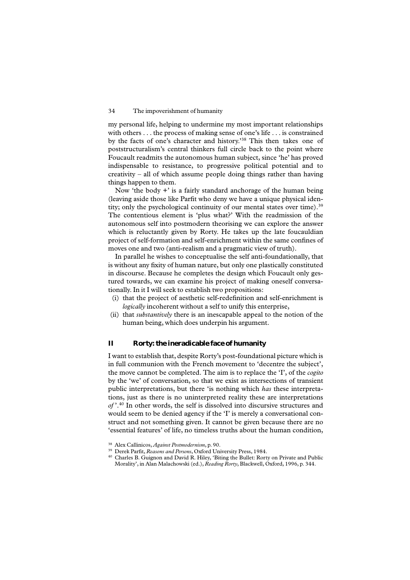my personal life, helping to undermine my most important relationships with others . . . the process of making sense of one's life . . . is constrained by the facts of one's character and history.'38 This then takes one of poststructuralism's central thinkers full circle back to the point where Foucault readmits the autonomous human subject, since 'he' has proved indispensable to resistance, to progressive political potential and to creativity – all of which assume people doing things rather than having things happen to them.

Now 'the body +' is a fairly standard anchorage of the human being (leaving aside those like Parfit who deny we have a unique physical identity; only the psychological continuity of our mental states over time).<sup>39</sup> The contentious element is 'plus what?' With the readmission of the autonomous self into postmodern theorising we can explore the answer which is reluctantly given by Rorty. He takes up the late foucauldian project of self-formation and self-enrichment within the same confines of moves one and two (anti-realism and a pragmatic view of truth).

In parallel he wishes to conceptualise the self anti-foundationally, that is without any fixity of human nature, but only one plastically constituted in discourse. Because he completes the design which Foucault only gestured towards, we can examine his project of making oneself conversationally. In it I will seek to establish two propositions:

- (i) that the project of aesthetic self-redefinition and self-enrichment is *logically* incoherent without a self to unify this enterprise,
- i(ii) that *substantively* there is an inescapable appeal to the notion of the human being, which does underpin his argument.

## **II Rorty: the ineradicable face of humanity**

I want to establish that, despite Rorty's post-foundational picture which is in full communion with the French movement to 'decentre the subject', the move cannot be completed. The aim is to replace the 'I', of the *cogito* by the 'we' of conversation, so that we exist as intersections of transient public interpretations, but there 'is nothing which *has* these interpretations, just as there is no uninterpreted reality these are interpretations *of* '.40 In other words, the self is dissolved into discursive structures and would seem to be denied agency if the 'I' is merely a conversational construct and not something given. It cannot be given because there are no 'essential features' of life, no timeless truths about the human condition,

<sup>38</sup> Alex Callinicos, *Against Postmodernism*, p. 90.

<sup>39</sup> Derek Parfit, *Reasons and Persons*, Oxford University Press, 1984.

<sup>40</sup> Charles B. Guignon and David R. Hiley, 'Biting the Bullet: Rorty on Private and Public Morality', in Alan Malachowski (ed.), *Reading Rorty*, Blackwell, Oxford, 1996, p. 344.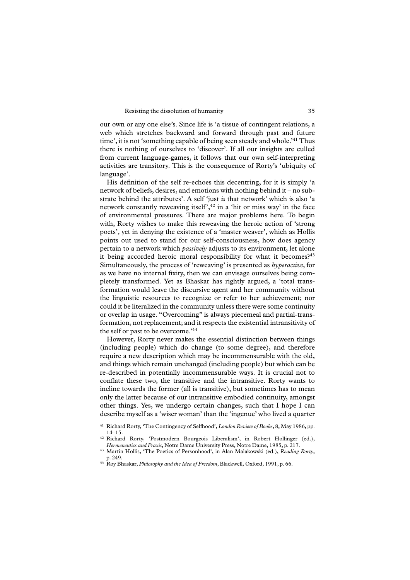our own or any one else's. Since life is 'a tissue of contingent relations, a web which stretches backward and forward through past and future time', it is not 'something capable of being seen steady and whole.'41 Thus there is nothing of ourselves to 'discover'. If all our insights are culled from current language-games, it follows that our own self-interpreting activities are transitory. This is the consequence of Rorty's 'ubiquity of language'.

His definition of the self re-echoes this decentring, for it is simply 'a network of beliefs, desires, and emotions with nothing behind it – no substrate behind the attributes'. A self 'just *is* that network' which is also 'a network constantly reweaving itself', $42$  in a 'hit or miss way' in the face of environmental pressures. There are major problems here. To begin with, Rorty wishes to make this reweaving the heroic action of 'strong poets', yet in denying the existence of a 'master weaver', which as Hollis points out used to stand for our self-consciousness, how does agency pertain to a network which *passively* adjusts to its environment, let alone it being accorded heroic moral responsibility for what it becomes? $43$ Simultaneously, the process of 'reweaving' is presented as *hyperactive*, for as we have no internal fixity, then we can envisage ourselves being completely transformed. Yet as Bhaskar has rightly argued, a 'total transformation would leave the discursive agent and her community without the linguistic resources to recognize or refer to her achievement; nor could it be literalized in the community unless there were some continuity or overlap in usage. "Overcoming" is always piecemeal and partial-transformation, not replacement; and it respects the existential intransitivity of the self or past to be overcome.'44

However, Rorty never makes the essential distinction between things (including people) which do change (to some degree), and therefore require a new description which may be incommensurable with the old, and things which remain unchanged (including people) but which can be re-described in potentially incommensurable ways. It is crucial not to conflate these two, the transitive and the intransitive. Rorty wants to incline towards the former (all is transitive), but sometimes has to mean only the latter because of our intransitive embodied continuity, amongst other things. Yes, we undergo certain changes, such that I hope I can describe myself as a 'wiser woman' than the 'ingenue' who lived a quarter

<sup>41</sup> Richard Rorty, 'The Contingency of Selfhood', *London Review of Books*, 8, May 1986, pp. 14–15.

<sup>42</sup> Richard Rorty, 'Postmodern Bourgeois Liberalism', in Robert Hollinger (ed.), *Hermeneutics and Praxis*, Notre Dame University Press, Notre Dame, 1985, p. 217.

<sup>43</sup> Martin Hollis, 'The Poetics of Personhood', in Alan Malakowski (ed.), *Reading Rorty*, p. 249.

<sup>44</sup> Roy Bhaskar, *Philosophy and the Idea of Freedom*, Blackwell, Oxford, 1991, p. 66.